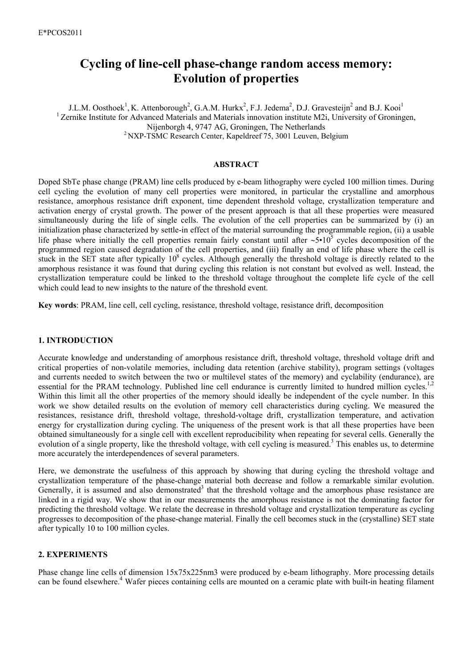# **Cycling of line-cell phase-change random access memory: Evolution of properties**

J.L.M. Oosthoek<sup>1</sup>, K. Attenborough<sup>2</sup>, G.A.M. Hurkx<sup>2</sup>, F.J. Jedema<sup>2</sup>, D.J. Gravesteijn<sup>2</sup> and B.J. Kooi<sup>1</sup> <sup>1</sup> Zernike Institute for Advanced Materials and Materials innovation institute M2i, University of Groningen, Nijenborgh 4, 9747 AG, Groningen, The Netherlands 2 NXP-TSMC Research Center, Kapeldreef 75, 3001 Leuven, Belgium

#### **ABSTRACT**

Doped SbTe phase change (PRAM) line cells produced by e-beam lithography were cycled 100 million times. During cell cycling the evolution of many cell properties were monitored, in particular the crystalline and amorphous resistance, amorphous resistance drift exponent, time dependent threshold voltage, crystallization temperature and activation energy of crystal growth. The power of the present approach is that all these properties were measured simultaneously during the life of single cells. The evolution of the cell properties can be summarized by (i) an initialization phase characterized by settle-in effect of the material surrounding the programmable region, (ii) a usable life phase where initially the cell properties remain fairly constant until after ∼5•10<sup>5</sup> cycles decomposition of the programmed region caused degradation of the cell properties, and (iii) finally an end of life phase where the cell is stuck in the SET state after typically  $10^8$  cycles. Although generally the threshold voltage is directly related to the amorphous resistance it was found that during cycling this relation is not constant but evolved as well. Instead, the crystallization temperature could be linked to the threshold voltage throughout the complete life cycle of the cell which could lead to new insights to the nature of the threshold event.

**Key words**: PRAM, line cell, cell cycling, resistance, threshold voltage, resistance drift, decomposition

## **1. INTRODUCTION**

Accurate knowledge and understanding of amorphous resistance drift, threshold voltage, threshold voltage drift and critical properties of non-volatile memories, including data retention (archive stability), program settings (voltages and currents needed to switch between the two or multilevel states of the memory) and cyclability (endurance), are essential for the PRAM technology. Published line cell endurance is currently limited to hundred million cycles.<sup>1,2</sup> Within this limit all the other properties of the memory should ideally be independent of the cycle number. In this work we show detailed results on the evolution of memory cell characteristics during cycling. We measured the resistances, resistance drift, threshold voltage, threshold-voltage drift, crystallization temperature, and activation energy for crystallization during cycling. The uniqueness of the present work is that all these properties have been obtained simultaneously for a single cell with excellent reproducibility when repeating for several cells. Generally the evolution of a single property, like the threshold voltage, with cell cycling is measured.<sup>3</sup> This enables us, to determine more accurately the interdependences of several parameters.

Here, we demonstrate the usefulness of this approach by showing that during cycling the threshold voltage and crystallization temperature of the phase-change material both decrease and follow a remarkable similar evolution. Generally, it is assumed and also demonstrated<sup>3</sup> that the threshold voltage and the amorphous phase resistance are linked in a rigid way. We show that in our measurements the amorphous resistance is not the dominating factor for predicting the threshold voltage. We relate the decrease in threshold voltage and crystallization temperature as cycling progresses to decomposition of the phase-change material. Finally the cell becomes stuck in the (crystalline) SET state after typically 10 to 100 million cycles.

#### **2. EXPERIMENTS**

Phase change line cells of dimension 15x75x225nm3 were produced by e-beam lithography. More processing details can be found elsewhere.<sup>4</sup> Wafer pieces containing cells are mounted on a ceramic plate with built-in heating filament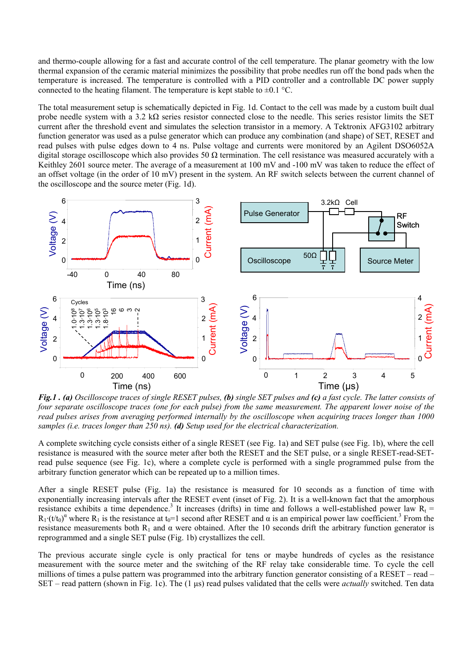and thermo-couple allowing for a fast and accurate control of the cell temperature. The planar geometry with the low thermal expansion of the ceramic material minimizes the possibility that probe needles run off the bond pads when the temperature is increased. The temperature is controlled with a PID controller and a controllable DC power supply connected to the heating filament. The temperature is kept stable to  $\pm 0.1$  °C.

The total measurement setup is schematically depicted in Fig. 1d. Contact to the cell was made by a custom built dual probe needle system with a 3.2 k $\Omega$  series resistor connected close to the needle. This series resistor limits the SET current after the threshold event and simulates the selection transistor in a memory. A Tektronix AFG3102 arbitrary function generator was used as a pulse generator which can produce any combination (and shape) of SET, RESET and read pulses with pulse edges down to 4 ns. Pulse voltage and currents were monitored by an Agilent DSO6052A digital storage oscilloscope which also provides 50  $\Omega$  termination. The cell resistance was measured accurately with a Keithley 2601 source meter. The average of a measurement at 100 mV and -100 mV was taken to reduce the effect of an offset voltage (in the order of 10 mV) present in the system. An RF switch selects between the current channel of the oscilloscope and the source meter (Fig. 1d).



 *Fig.1 . (a) Oscilloscope traces of single RESET pulses, (b) single SET pulses and (c) a fast cycle. The latter consists of four separate oscilloscope traces (one for each pulse) from the same measurement. The apparent lower noise of the read pulses arises from averaging performed internally by the oscilloscope when acquiring traces longer than 1000 samples (i.e. traces longer than 250 ns). (d) Setup used for the electrical characterization.* 

A complete switching cycle consists either of a single RESET (see Fig. 1a) and SET pulse (see Fig. 1b), where the cell resistance is measured with the source meter after both the RESET and the SET pulse, or a single RESET-read-SETread pulse sequence (see Fig. 1c), where a complete cycle is performed with a single programmed pulse from the arbitrary function generator which can be repeated up to a million times.

After a single RESET pulse (Fig. 1a) the resistance is measured for 10 seconds as a function of time with exponentially increasing intervals after the RESET event (inset of Fig. 2). It is a well-known fact that the amorphous resistance exhibits a time dependence.<sup>3</sup> It increases (drifts) in time and follows a well-established power law  $R_t$  =  $R_1 \cdot (t/t_0)^{\alpha}$  where  $R_1$  is the resistance at  $t_0=1$  second after RESET and  $\alpha$  is an empirical power law coefficient.<sup>3</sup> From the resistance measurements both  $R_1$  and  $\alpha$  were obtained. After the 10 seconds drift the arbitrary function generator is reprogrammed and a single SET pulse (Fig. 1b) crystallizes the cell.

The previous accurate single cycle is only practical for tens or maybe hundreds of cycles as the resistance measurement with the source meter and the switching of the RF relay take considerable time. To cycle the cell millions of times a pulse pattern was programmed into the arbitrary function generator consisting of a RESET – read – SET – read pattern (shown in Fig. 1c). The (1 µs) read pulses validated that the cells were *actually* switched. Ten data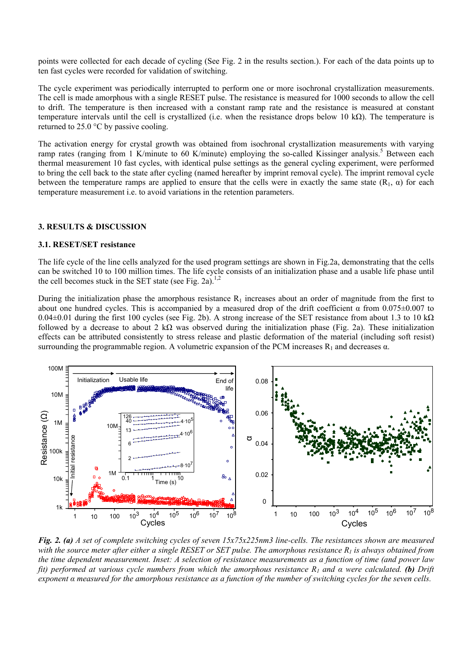points were collected for each decade of cycling (See Fig. 2 in the results section.). For each of the data points up to ten fast cycles were recorded for validation of switching.

The cycle experiment was periodically interrupted to perform one or more isochronal crystallization measurements. The cell is made amorphous with a single RESET pulse. The resistance is measured for 1000 seconds to allow the cell to drift. The temperature is then increased with a constant ramp rate and the resistance is measured at constant temperature intervals until the cell is crystallized (i.e. when the resistance drops below 10 kΩ). The temperature is returned to 25.0 °C by passive cooling.

The activation energy for crystal growth was obtained from isochronal crystallization measurements with varying ramp rates (ranging from 1 K/minute to 60 K/minute) employing the so-called Kissinger analysis.<sup>5</sup> Between each thermal measurement 10 fast cycles, with identical pulse settings as the general cycling experiment, were performed to bring the cell back to the state after cycling (named hereafter by imprint removal cycle). The imprint removal cycle between the temperature ramps are applied to ensure that the cells were in exactly the same state  $(R_1, \alpha)$  for each temperature measurement i.e. to avoid variations in the retention parameters.

#### **3. RESULTS & DISCUSSION**

#### **3.1. RESET/SET resistance**

The life cycle of the line cells analyzed for the used program settings are shown in Fig.2a, demonstrating that the cells can be switched 10 to 100 million times. The life cycle consists of an initialization phase and a usable life phase until the cell becomes stuck in the SET state (see Fig. 2a).<sup>1,2</sup>

During the initialization phase the amorphous resistance  $R_1$  increases about an order of magnitude from the first to about one hundred cycles. This is accompanied by a measured drop of the drift coefficient  $\alpha$  from 0.075±0.007 to  $0.04\pm0.01$  during the first 100 cycles (see Fig. 2b). A strong increase of the SET resistance from about 1.3 to 10 kΩ followed by a decrease to about 2 k $\Omega$  was observed during the initialization phase (Fig. 2a). These initialization effects can be attributed consistently to stress release and plastic deformation of the material (including soft resist) surrounding the programmable region. A volumetric expansion of the PCM increases  $R_1$  and decreases  $\alpha$ .



*Fig. 2. (a) A set of complete switching cycles of seven 15x75x225nm3 line-cells. The resistances shown are measured*  with the source meter after either a single RESET or SET pulse. The amorphous resistance  $R_1$  is always obtained from *the time dependent measurement. Inset: A selection of resistance measurements as a function of time (and power law fit) performed at various cycle numbers from which the amorphous resistance R1 and α were calculated. (b) Drift exponent α measured for the amorphous resistance as a function of the number of switching cycles for the seven cells.*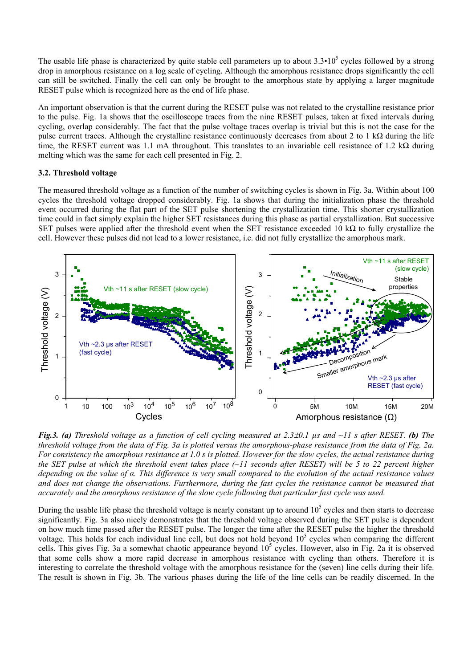The usable life phase is characterized by quite stable cell parameters up to about  $3.3 \cdot 10^5$  cycles followed by a strong drop in amorphous resistance on a log scale of cycling. Although the amorphous resistance drops significantly the cell can still be switched. Finally the cell can only be brought to the amorphous state by applying a larger magnitude RESET pulse which is recognized here as the end of life phase.

An important observation is that the current during the RESET pulse was not related to the crystalline resistance prior to the pulse. Fig. 1a shows that the oscilloscope traces from the nine RESET pulses, taken at fixed intervals during cycling, overlap considerably. The fact that the pulse voltage traces overlap is trivial but this is not the case for the pulse current traces. Although the crystalline resistance continuously decreases from about 2 to 1 k $\Omega$  during the life time, the RESET current was 1.1 mA throughout. This translates to an invariable cell resistance of 1.2 kΩ during melting which was the same for each cell presented in Fig. 2.

# **3.2. Threshold voltage**

The measured threshold voltage as a function of the number of switching cycles is shown in Fig. 3a. Within about 100 cycles the threshold voltage dropped considerably. Fig. 1a shows that during the initialization phase the threshold event occurred during the flat part of the SET pulse shortening the crystallization time. This shorter crystallization time could in fact simply explain the higher SET resistances during this phase as partial crystallization. But successive SET pulses were applied after the threshold event when the SET resistance exceeded 10 k $\Omega$  to fully crystallize the cell. However these pulses did not lead to a lower resistance, i.e. did not fully crystallize the amorphous mark.



*Fig.3. (a) Threshold voltage as a function of cell cycling measured at 2.3*±*0.1 µs and ~11 s after RESET. (b) The threshold voltage from the data of Fig. 3a is plotted versus the amorphous-phase resistance from the data of Fig. 2a. For consistency the amorphous resistance at 1.0 s is plotted. However for the slow cycles, the actual resistance during the SET pulse at which the threshold event takes place (~11 seconds after RESET) will be 5 to 22 percent higher depending on the value of α. This difference is very small compared to the evolution of the actual resistance values and does not change the observations. Furthermore, during the fast cycles the resistance cannot be measured that accurately and the amorphous resistance of the slow cycle following that particular fast cycle was used.* 

During the usable life phase the threshold voltage is nearly constant up to around  $10^5$  cycles and then starts to decrease significantly. Fig. 3a also nicely demonstrates that the threshold voltage observed during the SET pulse is dependent on how much time passed after the RESET pulse. The longer the time after the RESET pulse the higher the threshold voltage. This holds for each individual line cell, but does not hold beyond  $10<sup>5</sup>$  cycles when comparing the different cells. This gives Fig. 3a a somewhat chaotic appearance beyond  $10^5$  cycles. However, also in Fig. 2a it is observed that some cells show a more rapid decrease in amorphous resistance with cycling than others. Therefore it is interesting to correlate the threshold voltage with the amorphous resistance for the (seven) line cells during their life. The result is shown in Fig. 3b. The various phases during the life of the line cells can be readily discerned. In the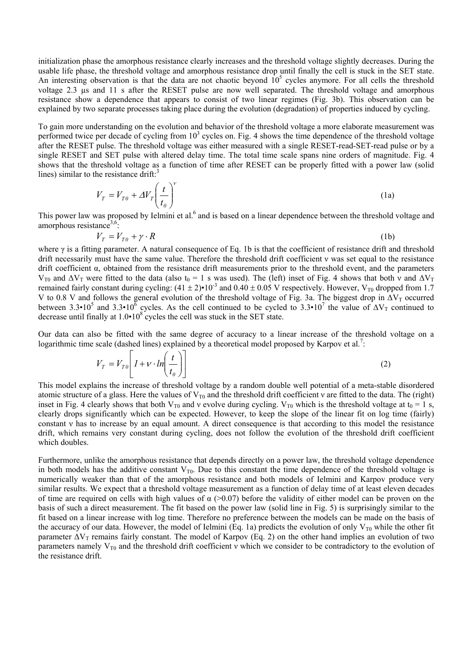initialization phase the amorphous resistance clearly increases and the threshold voltage slightly decreases. During the usable life phase, the threshold voltage and amorphous resistance drop until finally the cell is stuck in the SET state. An interesting observation is that the data are not chaotic beyond  $10^5$  cycles anymore. For all cells the threshold voltage 2.3 µs and 11 s after the RESET pulse are now well separated. The threshold voltage and amorphous resistance show a dependence that appears to consist of two linear regimes (Fig. 3b). This observation can be explained by two separate processes taking place during the evolution (degradation) of properties induced by cycling.

To gain more understanding on the evolution and behavior of the threshold voltage a more elaborate measurement was performed twice per decade of cycling from  $10<sup>3</sup>$  cycles on. Fig. 4 shows the time dependence of the threshold voltage after the RESET pulse. The threshold voltage was either measured with a single RESET-read-SET-read pulse or by a single RESET and SET pulse with altered delay time. The total time scale spans nine orders of magnitude. Fig. 4 shows that the threshold voltage as a function of time after RESET can be properly fitted with a power law (solid lines) similar to the resistance drift: $3$ 

$$
V_T = V_{T0} + \Delta V_T \left(\frac{t}{t_0}\right)^{\nu}
$$
 (1a)

This power law was proposed by Ielmini et al.<sup>6</sup> and is based on a linear dependence between the threshold voltage and amorphous resistance<sup>3,6</sup>:

$$
V_T = V_{T0} + \gamma \cdot R \tag{1b}
$$

where  $\gamma$  is a fitting parameter. A natural consequence of Eq. 1b is that the coefficient of resistance drift and threshold drift necessarily must have the same value. Therefore the threshold drift coefficient v was set equal to the resistance drift coefficient α, obtained from the resistance drift measurements prior to the threshold event, and the parameters V<sub>T0</sub> and  $\Delta$ V<sub>T</sub> were fitted to the data (also t<sub>0</sub> = 1 s was used). The (left) inset of Fig. 4 shows that both v and  $\Delta$ V<sub>T</sub> remained fairly constant during cycling:  $(41 \pm 2) \cdot 10^{-3}$  and  $0.40 \pm 0.05$  V respectively. However, V<sub>T0</sub> dropped from 1.7 V to 0.8 V and follows the general evolution of the threshold voltage of Fig. 3a. The biggest drop in  $\Delta V_T$  occurred between 3.3•10<sup>5</sup> and 3.3•10<sup>6</sup> cycles. As the cell continued to be cycled to 3.3•10<sup>7</sup> the value of  $\Delta V_T$  continued to decrease until finally at  $1.0 \cdot 10^8$  cycles the cell was stuck in the SET state.

Our data can also be fitted with the same degree of accuracy to a linear increase of the threshold voltage on a logarithmic time scale (dashed lines) explained by a theoretical model proposed by Karpov et al.<sup>7</sup>:

$$
V_T = V_{T0} \left[ I + v \cdot ln \left( \frac{t}{t_0} \right) \right] \tag{2}
$$

This model explains the increase of threshold voltage by a random double well potential of a meta-stable disordered atomic structure of a glass. Here the values of  $V_{T0}$  and the threshold drift coefficient v are fitted to the data. The (right) inset in Fig. 4 clearly shows that both V<sub>T0</sub> and v evolve during cycling. V<sub>T0</sub> which is the threshold voltage at  $t_0 = 1$  s, clearly drops significantly which can be expected. However, to keep the slope of the linear fit on log time (fairly) constant ν has to increase by an equal amount. A direct consequence is that according to this model the resistance drift, which remains very constant during cycling, does not follow the evolution of the threshold drift coefficient which doubles.

Furthermore, unlike the amorphous resistance that depends directly on a power law, the threshold voltage dependence in both models has the additive constant  $V_{T0}$ . Due to this constant the time dependence of the threshold voltage is numerically weaker than that of the amorphous resistance and both models of Ielmini and Karpov produce very similar results. We expect that a threshold voltage measurement as a function of delay time of at least eleven decades of time are required on cells with high values of  $\alpha$  (>0.07) before the validity of either model can be proven on the basis of such a direct measurement. The fit based on the power law (solid line in Fig. 5) is surprisingly similar to the fit based on a linear increase with log time. Therefore no preference between the models can be made on the basis of the accuracy of our data. However, the model of Ielmini (Eq. 1a) predicts the evolution of only  $V_{T0}$  while the other fit parameter  $\Delta V_T$  remains fairly constant. The model of Karpov (Eq. 2) on the other hand implies an evolution of two parameters namely  $V_{T0}$  and the threshold drift coefficient v which we consider to be contradictory to the evolution of the resistance drift.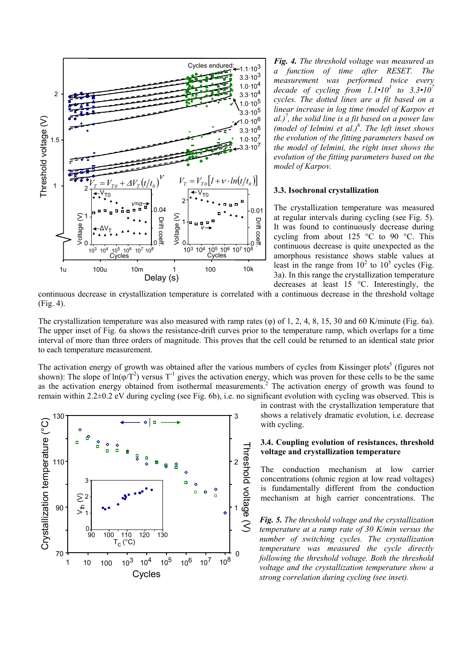

*Fig. 4. The threshold voltage was measured as a function of time after RESET. The measurement was performed twice every decade of cycling from*  $1.1 \cdot 10^3$  *to*  $3.3 \cdot 10^7$ *cycles. The dotted lines are a fit based on a linear increase in log time (model of Karpov et al.)7 , the solid line is a fit based on a power law (model of Ielmini et al.)6 . The left inset shows the evolution of the fitting parameters based on the model of Ielmini, the right inset shows the evolution of the fitting parameters based on the model of Karpov.* 

#### **3.3. Isochronal crystallization**

The crystallization temperature was measured at regular intervals during cycling (see Fig. 5). It was found to continuously decrease during cycling from about 125 °C to 90 °C. This continuous decrease is quite unexpected as the amorphous resistance shows stable values at least in the range from  $10^2$  to  $10^5$  cycles (Fig. 3a). In this range the crystallization temperature decreases at least 15 °C. Interestingly, the

continuous decrease in crystallization temperature is correlated with a continuous decrease in the threshold voltage (Fig. 4).

The crystallization temperature was also measured with ramp rates ( $\varphi$ ) of 1, 2, 4, 8, 15, 30 and 60 K/minute (Fig. 6a). The upper inset of Fig. 6a shows the resistance-drift curves prior to the temperature ramp, which overlaps for a time interval of more than three orders of magnitude. This proves that the cell could be returned to an identical state prior to each temperature measurement.

The activation energy of growth was obtained after the various numbers of cycles from Kissinger plots<sup>5</sup> (figures not shown): The slope of  $ln(\phi/T^2)$  versus T<sup>-1</sup> gives the activation energy, which was proven for these cells to be the same as the activation energy obtained from isothermal measurements.<sup>2</sup> The activation energy of growth was found to remain within 2.2±0.2 eV during cycling (see Fig. 6b), i.e. no significant evolution with cycling was observed. This is



in contrast with the crystallization temperature that shows a relatively dramatic evolution, i.e. decrease with cycling.

# **3.4. Coupling evolution of resistances, threshold voltage and crystallization temperature**

The conduction mechanism at low carrier concentrations (ohmic region at low read voltages) is fundamentally different from the conduction mechanism at high carrier concentrations. The

*Fig. 5. The threshold voltage and the crystallization temperature at a ramp rate of 30 K/min versus the number of switching cycles. The crystallization temperature was measured the cycle directly following the threshold voltage. Both the threshold voltage and the crystallization temperature show a strong correlation during cycling (see inset).*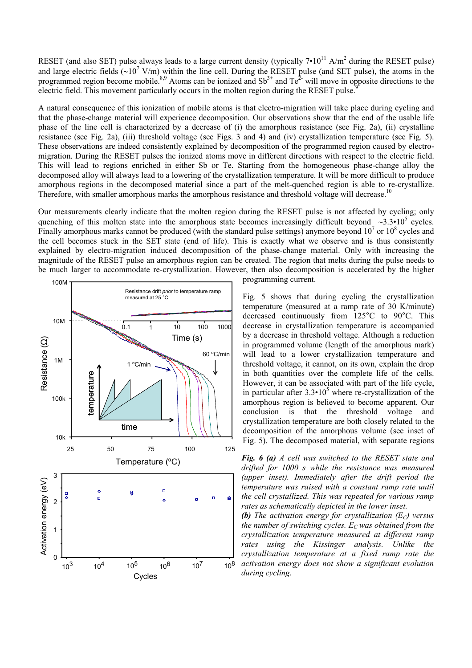RESET (and also SET) pulse always leads to a large current density (typically  $7 \cdot 10^{11}$  A/m<sup>2</sup> during the RESET pulse) and large electric fields ( $\sim$ 10<sup>7</sup> V/m) within the line cell. During the RESET pulse (and SET pulse), the atoms in the programmed region become mobile.<sup>8,9</sup> Atoms can be ionized and  $Sb<sup>3+</sup>$  and  $Te<sup>2-</sup>$  will move in opposite directions to the electric field. This movement particularly occurs in the molten region during the RESET pulse.

A natural consequence of this ionization of mobile atoms is that electro-migration will take place during cycling and that the phase-change material will experience decomposition. Our observations show that the end of the usable life phase of the line cell is characterized by a decrease of (i) the amorphous resistance (see Fig. 2a), (ii) crystalline resistance (see Fig. 2a), (iii) threshold voltage (see Figs. 3 and 4) and (iv) crystallization temperature (see Fig. 5). These observations are indeed consistently explained by decomposition of the programmed region caused by electromigration. During the RESET pulses the ionized atoms move in different directions with respect to the electric field. This will lead to regions enriched in either Sb or Te. Starting from the homogeneous phase-change alloy the decomposed alloy will always lead to a lowering of the crystallization temperature. It will be more difficult to produce amorphous regions in the decomposed material since a part of the melt-quenched region is able to re-crystallize. Therefore, with smaller amorphous marks the amorphous resistance and threshold voltage will decrease.<sup>10</sup>

Our measurements clearly indicate that the molten region during the RESET pulse is not affected by cycling; only quenching of this molten state into the amorphous state becomes increasingly difficult beyond ∼3.3•10<sup>5</sup> cycles. Finally amorphous marks cannot be produced (with the standard pulse settings) anymore beyond  $10^7$  or  $10^8$  cycles and the cell becomes stuck in the SET state (end of life). This is exactly what we observe and is thus consistently explained by electro-migration induced decomposition of the phase-change material. Only with increasing the magnitude of the RESET pulse an amorphous region can be created. The region that melts during the pulse needs to be much larger to accommodate re-crystallization. However, then also decomposition is accelerated by the higher



programming current.

Fig. 5 shows that during cycling the crystallization temperature (measured at a ramp rate of 30 K/minute) decreased continuously from 125°C to 90°C. This decrease in crystallization temperature is accompanied by a decrease in threshold voltage. Although a reduction in programmed volume (length of the amorphous mark) will lead to a lower crystallization temperature and threshold voltage, it cannot, on its own, explain the drop in both quantities over the complete life of the cells. However, it can be associated with part of the life cycle, in particular after  $3.3 \cdot 10^5$  where re-crystallization of the amorphous region is believed to become apparent. Our conclusion is that the threshold voltage and crystallization temperature are both closely related to the decomposition of the amorphous volume (see inset of

*Fig. 6 (a) A cell was switched to the RESET state and drifted for 1000 s while the resistance was measured (upper inset). Immediately after the drift period the temperature was raised with a constant ramp rate until the cell crystallized. This was repeated for various ramp rates as schematically depicted in the lower inset.* 

**(b)** The activation energy for crystallization  $(E_C)$  versus *the number of switching cycles.*  $E_C$  was obtained from the *crystallization temperature measured at different ramp rates using the Kissinger analysis. Unlike the crystallization temperature at a fixed ramp rate the activation energy does not show a significant evolution during cycling*.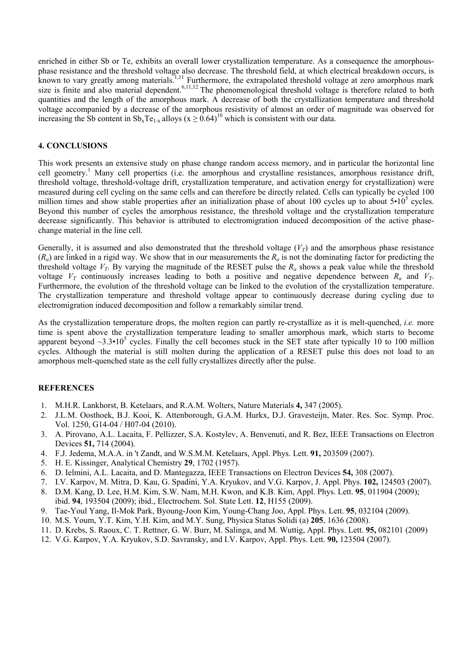enriched in either Sb or Te, exhibits an overall lower crystallization temperature. As a consequence the amorphousphase resistance and the threshold voltage also decrease. The threshold field, at which electrical breakdown occurs, is known to vary greatly among materials.<sup>1,11</sup> Furthermore, the extrapolated threshold voltage at zero amorphous mark size is finite and also material dependent.<sup>6,11,12</sup> The phenomenological threshold voltage is therefore related to both quantities and the length of the amorphous mark. A decrease of both the crystallization temperature and threshold voltage accompanied by a decrease of the amorphous resistivity of almost an order of magnitude was observed for increasing the Sb content in  $Sb_xTe_{1-x}$  alloys ( $x \ge 0.64$ )<sup>10</sup> which is consistent with our data.

# **4. CONCLUSIONS**

This work presents an extensive study on phase change random access memory, and in particular the horizontal line cell geometry.<sup>1</sup> Many cell properties (i.e. the amorphous and crystalline resistances, amorphous resistance drift, threshold voltage, threshold-voltage drift, crystallization temperature, and activation energy for crystallization) were measured during cell cycling on the same cells and can therefore be directly related. Cells can typically be cycled 100 million times and show stable properties after an initialization phase of about 100 cycles up to about  $5 \cdot 10^5$  cycles. Beyond this number of cycles the amorphous resistance, the threshold voltage and the crystallization temperature decrease significantly. This behavior is attributed to electromigration induced decomposition of the active phasechange material in the line cell.

Generally, it is assumed and also demonstrated that the threshold voltage  $(V_T)$  and the amorphous phase resistance  $(R_a)$  are linked in a rigid way. We show that in our measurements the  $R_a$  is not the dominating factor for predicting the threshold voltage  $V_T$ . By varying the magnitude of the RESET pulse the  $R_a$  shows a peak value while the threshold voltage  $V_T$  continuously increases leading to both a positive and negative dependence between  $R_a$  and  $V_T$ . Furthermore, the evolution of the threshold voltage can be linked to the evolution of the crystallization temperature. The crystallization temperature and threshold voltage appear to continuously decrease during cycling due to electromigration induced decomposition and follow a remarkably similar trend.

As the crystallization temperature drops, the molten region can partly re-crystallize as it is melt-quenched, *i.e.* more time is spent above the crystallization temperature leading to smaller amorphous mark, which starts to become apparent beyond  $\sim$ 3.3•10<sup>5</sup> cycles. Finally the cell becomes stuck in the SET state after typically 10 to 100 million cycles. Although the material is still molten during the application of a RESET pulse this does not load to an amorphous melt-quenched state as the cell fully crystallizes directly after the pulse.

# **REFERENCES**

- 1. M.H.R. Lankhorst, B. Ketelaars, and R.A.M. Wolters, Nature Materials **4,** 347 (2005).
- 2. J.L.M. Oosthoek, B.J. Kooi, K. Attenborough, G.A.M. Hurkx, D.J. Gravesteijn, Mater. Res. Soc. Symp. Proc. Vol. 1250, G14-04 / H07-04 (2010).
- 3. A. Pirovano, A.L. Lacaita, F. Pellizzer, S.A. Kostylev, A. Benvenuti, and R. Bez, IEEE Transactions on Electron Devices **51,** 714 (2004).
- 4. F.J. Jedema, M.A.A. in 't Zandt, and W.S.M.M. Ketelaars, Appl. Phys. Lett. **91,** 203509 (2007).
- 5. H. E. Kissinger, Analytical Chemistry **29**, 1702 (1957).
- 6. D. Ielmini, A.L. Lacaita, and D. Mantegazza, IEEE Transactions on Electron Devices **54,** 308 (2007).
- 7. I.V. Karpov, M. Mitra, D. Kau, G. Spadini, Y.A. Kryukov, and V.G. Karpov, J. Appl. Phys. **102,** 124503 (2007).
- 8. D.M. Kang, D. Lee, H.M. Kim, S.W. Nam, M.H. Kwon, and K.B. Kim, Appl. Phys. Lett. **95**, 011904 (2009); ibid. **94**, 193504 (2009); ibid., Electrochem. Sol. State Lett. **12**, H155 (2009).
- 9. Tae-Youl Yang, Il-Mok Park, Byoung-Joon Kim, Young-Chang Joo, Appl. Phys. Lett. **95**, 032104 (2009).
- 10. M.S. Youm, Y.T. Kim, Y.H. Kim, and M.Y. Sung, Physica Status Solidi (a) **205**, 1636 (2008).
- 11. D. Krebs, S. Raoux, C. T. Rettner, G. W. Burr, M. Salinga, and M. Wuttig, Appl. Phys. Lett. **95,** 082101 (2009)
- 12. V.G. Karpov, Y.A. Kryukov, S.D. Savransky, and I.V. Karpov, Appl. Phys. Lett. **90,** 123504 (2007).